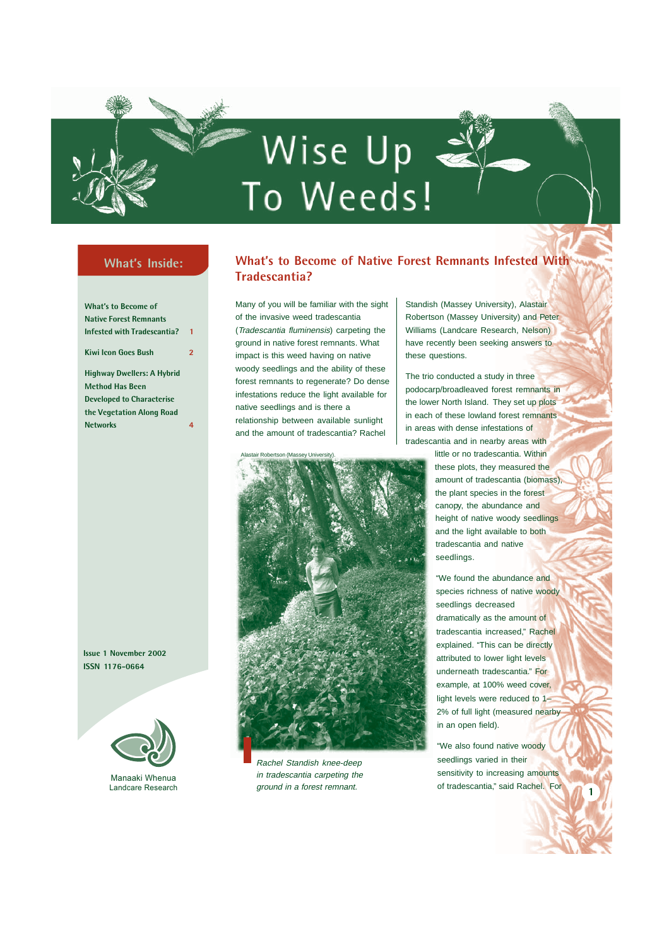# Wise Up < To Weeds!

## **What's Inside:**

**What's to Become of Native Forest Remnants Infested with Tradescantia? 1 Kiwi Icon Goes Bush 2 Highway Dwellers: A Hybrid Method Has Been Developed to Characterise**

**the Vegetation Along Road Networks 4**

**Issue 1 November 2002 ISSN 1176-0664**



Manaaki Whenua Landcare Research

### **What's to Become of Native Forest Remnants Infested With Tradescantia?**

Many of you will be familiar with the sight of the invasive weed tradescantia (Tradescantia fluminensis) carpeting the ground in native forest remnants. What impact is this weed having on native woody seedlings and the ability of these forest remnants to regenerate? Do dense infestations reduce the light available for native seedlings and is there a relationship between available sunlight and the amount of tradescantia? Rachel



Rachel Standish knee-deep in tradescantia carpeting the ground in a forest remnant.

Standish (Massey University), Alastair Robertson (Massey University) and Peter Williams (Landcare Research, Nelson) have recently been seeking answers to these questions.

The trio conducted a study in three podocarp/broadleaved forest remnants in the lower North Island. They set up plots in each of these lowland forest remnants in areas with dense infestations of tradescantia and in nearby areas with

> little or no tradescantia. Within these plots, they measured the amount of tradescantia (biomass), the plant species in the forest canopy, the abundance and height of native woody seedlings and the light available to both tradescantia and native seedlings.

"We found the abundance and species richness of native woody seedlings decreased dramatically as the amount of tradescantia increased," Rachel explained. "This can be directly attributed to lower light levels underneath tradescantia." For example, at 100% weed cover, light levels were reduced to 1– 2% of full light (measured nearby in an open field).

"We also found native woody seedlings varied in their sensitivity to increasing amounts of tradescantia," said Rachel. For

**1**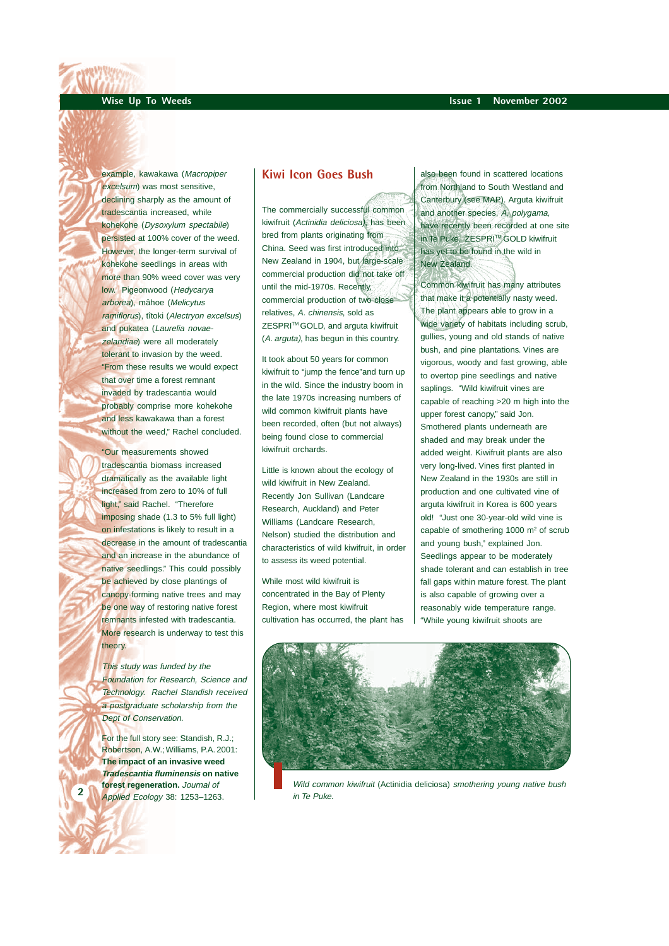example, kawakawa (Macropiper excelsum) was most sensitive, declining sharply as the amount of tradescantia increased, while kohekohe (Dysoxylum spectabile) persisted at 100% cover of the weed. However, the longer-term survival of kohekohe seedlings in areas with more than 90% weed cover was very low. Pigeonwood (Hedycarya arborea), mâhoe (Melicytus ramiflorus), tîtoki (Alectryon excelsus) and pukatea (Laurelia novaezelandiae) were all moderately tolerant to invasion by the weed. "From these results we would expect that over time a forest remnant invaded by tradescantia would probably comprise more kohekohe and less kawakawa than a forest without the weed," Rachel concluded.

"Our measurements showed tradescantia biomass increased dramatically as the available light increased from zero to 10% of full light," said Rachel. "Therefore imposing shade (1.3 to 5% full light) on infestations is likely to result in a decrease in the amount of tradescantia and an increase in the abundance of native seedlings." This could possibly be achieved by close plantings of canopy-forming native trees and may be one way of restoring native forest remnants infested with tradescantia. More research is underway to test this theory.

This study was funded by the Foundation for Research, Science and Technology. Rachel Standish received a postgraduate scholarship from the Dept of Conservation.

For the full story see: Standish, R.J.; Robertson, A.W.; Williams, P.A. 2001: **The impact of an invasive weed Tradescantia fluminensis on native forest regeneration.** Journal of Applied Ecology 38: 1253-1263.

**2**

#### **Kiwi Icon Goes Bush**

The commercially successful common kiwifruit (Actinidia deliciosa), has been bred from plants originating from China. Seed was first introduced into New Zealand in 1904, but large-scale commercial production did not take off until the mid-1970s. Recently, commercial production of two close relatives, A. chinensis, sold as ZESPRI™ GOLD, and arguta kiwifruit (A. arguta), has begun in this country.

It took about 50 years for common kiwifruit to "jump the fence"and turn up in the wild. Since the industry boom in the late 1970s increasing numbers of wild common kiwifruit plants have been recorded, often (but not always) being found close to commercial kiwifruit orchards.

Little is known about the ecology of wild kiwifruit in New Zealand. Recently Jon Sullivan (Landcare Research, Auckland) and Peter Williams (Landcare Research, Nelson) studied the distribution and characteristics of wild kiwifruit, in order to assess its weed potential.

While most wild kiwifruit is concentrated in the Bay of Plenty Region, where most kiwifruit cultivation has occurred, the plant has also been found in scattered locations from Northland to South Westland and Canterbury (see MAP). Arguta kiwifruit and another species, A. polygama, have recently been recorded at one site in Te Puke. ZESPRI™ GOLD kiwifruit has yet to be found in the wild in New Zealand.

Common kiwifruit has many attributes that make it a potentially nasty weed. The plant appears able to grow in a wide variety of habitats including scrub, gullies, young and old stands of native bush, and pine plantations. Vines are vigorous, woody and fast growing, able to overtop pine seedlings and native saplings. "Wild kiwifruit vines are capable of reaching >20 m high into the upper forest canopy" said Jon. Smothered plants underneath are shaded and may break under the added weight. Kiwifruit plants are also very long-lived. Vines first planted in New Zealand in the 1930s are still in production and one cultivated vine of arguta kiwifruit in Korea is 600 years old! "Just one 30-year-old wild vine is capable of smothering 1000 m<sup>2</sup> of scrub and young bush," explained Jon. Seedlings appear to be moderately shade tolerant and can establish in tree fall gaps within mature forest. The plant is also capable of growing over a reasonably wide temperature range. "While young kiwifruit shoots are



Wild common kiwifruit (Actinidia deliciosa) smothering young native bush in Te Puke.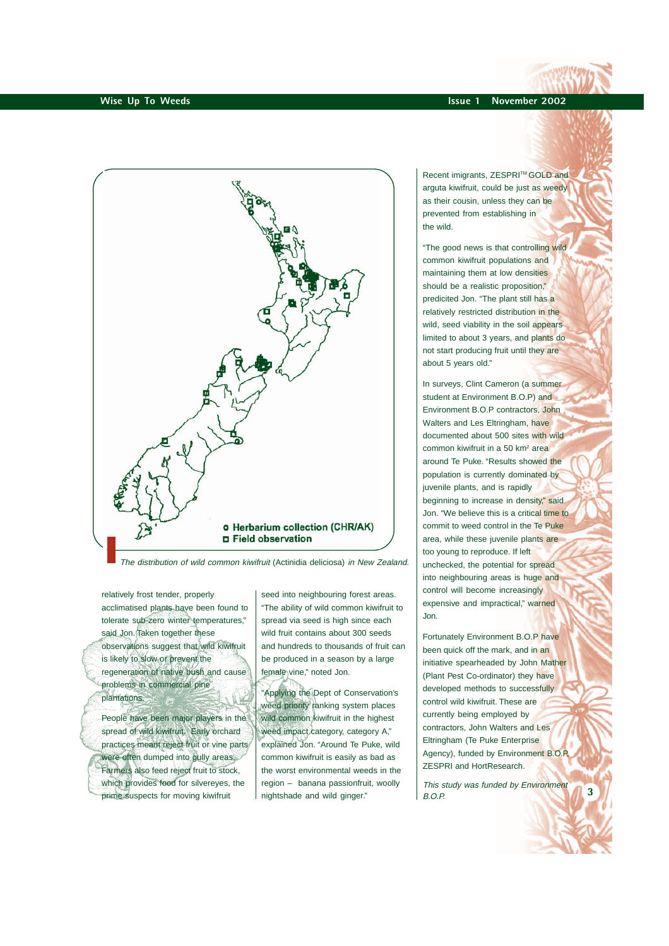

The distribution of wild common kiwifruit (Actinidia deliciosa) in New Zealand.

relatively frost tender, properly acclimatised plants have been found to tolerate sub-zero winter temperatures," said Jon. Taken together these observations suggest that wild kiwifruit is likely to slow or prevent the regeneration of native bush and cause problems in commercial pine plantations.

People have been major players in the spread of wild kiwifruit. Early orchard practices meant reject fruit or vine parts were often dumped into gully areas. Farmers also feed reject fruit to stock, which provides food for silvereyes, the prime suspects for moving kiwifruit

seed into neighbouring forest areas. "The ability of wild common kiwifruit to spread via seed is high since each wild fruit contains about 300 seeds and hundreds to thousands of fruit can be produced in a season by a large female vine," noted Jon.

"Applying the Dept of Conservation's weed priority ranking system places wild common kiwifruit in the highest weed impact category, category A," explained Jon. "Around Te Puke, wild common kiwifruit is easily as bad as the worst environmental weeds in the region – banana passionfruit, woolly nightshade and wild ginger."

Recent imigrants, ZESPRI™ GOLD and arguta kiwifruit, could be just as weedy as their cousin, unless they can be prevented from establishing in the wild.

"The good news is that controlling wild common kiwifruit populations and maintaining them at low densities should be a realistic proposition," predicited Jon. "The plant still has a relatively restricted distribution in the wild, seed viability in the soil appears limited to about 3 years, and plants do not start producing fruit until they are about 5 years old."

In surveys, Clint Cameron (a summer student at Environment B.O.P) and Environment B.O.P contractors, John Walters and Les Eltringham, have documented about 500 sites with wild common kiwifruit in a 50 km<sup>2</sup> area around Te Puke. "Results showed the population is currently dominated by juvenile plants, and is rapidly beginning to increase in density," said Jon. "We believe this is a critical time to commit to weed control in the Te Puke area, while these juvenile plants are too young to reproduce. If left unchecked, the potential for spread into neighbouring areas is huge and control will become increasingly expensive and impractical," warned Jon.

Fortunately Environment B.O.P have been quick off the mark, and in an initiative spearheaded by John Mather (Plant Pest Co-ordinator) they have developed methods to successfully control wild kiwifruit. These are currently being employed by contractors, John Walters and Les Eltringham (Te Puke Enterprise Agency), funded by Environment B.O.P, ZESPRI and HortResearch.

This study was funded by Environment  $B$  $O$  $P$ 

**3**